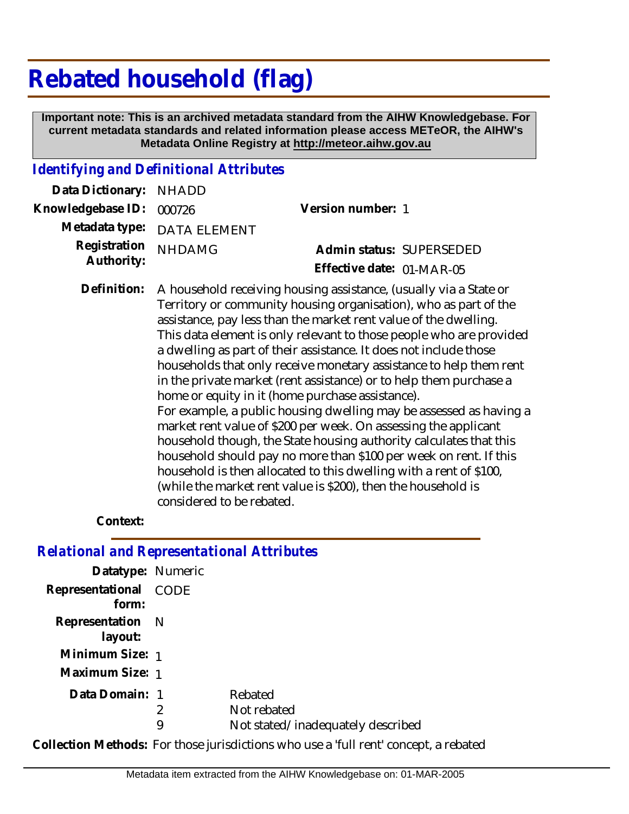## **Rebated household (flag)**

 **Important note: This is an archived metadata standard from the AIHW Knowledgebase. For current metadata standards and related information please access METeOR, the AIHW's Metadata Online Registry at http://meteor.aihw.gov.au**

## *Identifying and Definitional Attributes*

| Version number: 1         |                                                                              |
|---------------------------|------------------------------------------------------------------------------|
|                           |                                                                              |
|                           | Admin status: SUPERSEDED                                                     |
| Effective date: 01-MAR-05 |                                                                              |
|                           | Data Dictionary: NHADD<br>Metadata type: DATA ELEMENT<br>Registration NHDAMG |

A household receiving housing assistance, (usually via a State or Territory or community housing organisation), who as part of the assistance, pay less than the market rent value of the dwelling. This data element is only relevant to those people who are provided a dwelling as part of their assistance. It does not include those households that only receive monetary assistance to help them rent in the private market (rent assistance) or to help them purchase a home or equity in it (home purchase assistance). For example, a public housing dwelling may be assessed as having a market rent value of \$200 per week. On assessing the applicant household though, the State housing authority calculates that this household should pay no more than \$100 per week on rent. If this household is then allocated to this dwelling with a rent of \$100, (while the market rent value is \$200), then the household is considered to be rebated. **Definition:**

## **Context:**

*Relational and Representational Attributes*

| Datatype: Numeric              |        |                                                             |
|--------------------------------|--------|-------------------------------------------------------------|
| Representational CODE<br>form: |        |                                                             |
| Representation N<br>layout:    |        |                                                             |
| Minimum Size: 1                |        |                                                             |
| Maximum Size: 1                |        |                                                             |
| Data Domain: 1                 | 2<br>9 | Rebated<br>Not rebated<br>Not stated/inadequately described |

**Collection Methods:** For those jurisdictions who use a 'full rent' concept, a rebated